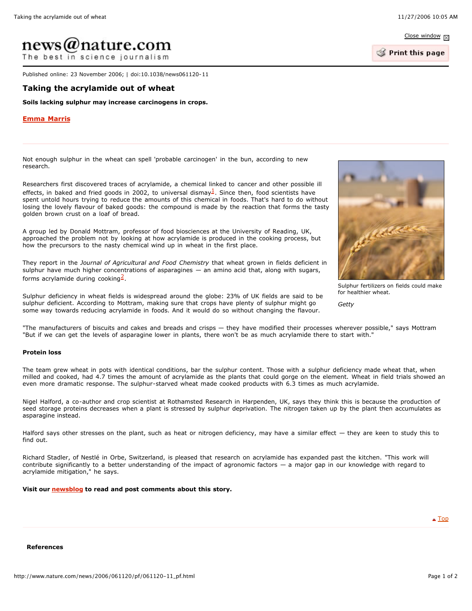Close window  $\nabla$ 

Print this page

# $news(\omega$ nature.com

The best in science journalism

Published online: 23 November 2006; | doi:10.1038/news061120-11

## **Taking the acrylamide out of wheat**

**Soils lacking sulphur may increase carcinogens in crops.**

### **Emma Marris**

Not enough sulphur in the wheat can spell 'probable carcinogen' in the bun, according to new research.

Researchers first discovered traces of acrylamide, a chemical linked to cancer and other possible ill effects, in baked and fried goods in 2002, to universal dismay<sup>1</sup>. Since then, food scientists have spent untold hours trying to reduce the amounts of this chemical in foods. That's hard to do without losing the lovely flavour of baked goods: the compound is made by the reaction that forms the tasty golden brown crust on a loaf of bread.

A group led by Donald Mottram, professor of food biosciences at the University of Reading, UK, approached the problem not by looking at how acrylamide is produced in the cooking process, but how the precursors to the nasty chemical wind up in wheat in the first place.

They report in the *Journal of Agricultural and Food Chemistry* that wheat grown in fields deficient in sulphur have much higher concentrations of asparagines — an amino acid that, along with sugars, forms acrylamide during cooking $\frac{2}{3}$ .

Sulphur deficiency in wheat fields is widespread around the globe: 23% of UK fields are said to be sulphur deficient. According to Mottram, making sure that crops have plenty of sulphur might go some way towards reducing acrylamide in foods. And it would do so without changing the flavour.



Sulphur fertilizers on fields could make for healthier wheat.

*Getty*

"The manufacturers of biscuits and cakes and breads and crisps — they have modified their processes wherever possible," says Mottram "But if we can get the levels of asparagine lower in plants, there won't be as much acrylamide there to start with."

### **Protein loss**

The team grew wheat in pots with identical conditions, bar the sulphur content. Those with a sulphur deficiency made wheat that, when milled and cooked, had 4.7 times the amount of acrylamide as the plants that could gorge on the element. Wheat in field trials showed an even more dramatic response. The sulphur-starved wheat made cooked products with 6.3 times as much acrylamide.

Nigel Halford, a co-author and crop scientist at Rothamsted Research in Harpenden, UK, says they think this is because the production of seed storage proteins decreases when a plant is stressed by sulphur deprivation. The nitrogen taken up by the plant then accumulates as asparagine instead.

Halford says other stresses on the plant, such as heat or nitrogen deficiency, may have a similar effect — they are keen to study this to find out.

Richard Stadler, of Nestlé in Orbe, Switzerland, is pleased that research on acrylamide has expanded past the kitchen. "This work will contribute significantly to a better understanding of the impact of agronomic factors  $-$  a major gap in our knowledge with regard to acrylamide mitigation," he says.

**Visit our newsblog to read and post comments about this story.**

 $\triangle$  Top

#### **References**